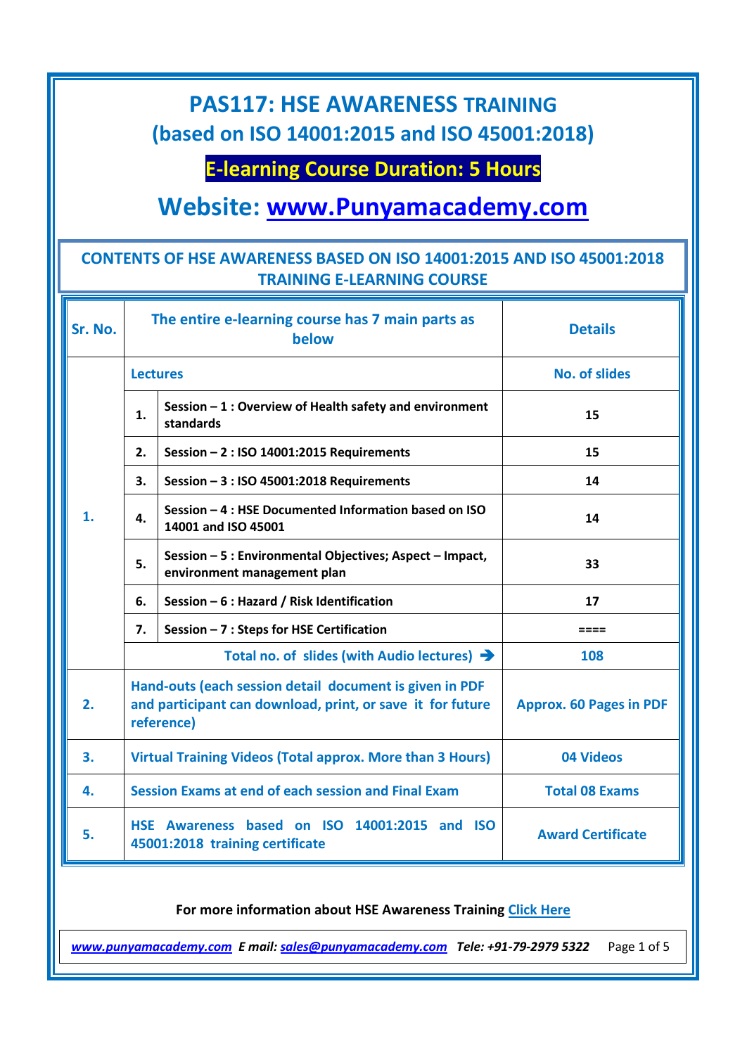**E-learning Course Duration: 5 Hours** 

# **Website: [www.Punyamacademy.com](http://www.punyamacademy.com/)**

### **CONTENTS OF HSE AWARENESS BASED ON ISO 14001:2015 AND ISO 45001:2018 TRAINING E-LEARNING COURSE**

| Sr. No. | The entire e-learning course has 7 main parts as<br>below                                                                           |                                                                                         | <b>Details</b>                 |
|---------|-------------------------------------------------------------------------------------------------------------------------------------|-----------------------------------------------------------------------------------------|--------------------------------|
| 1.      | <b>Lectures</b>                                                                                                                     |                                                                                         | <b>No. of slides</b>           |
|         | 1.                                                                                                                                  | Session - 1 : Overview of Health safety and environment<br>standards                    | 15                             |
|         | 2.                                                                                                                                  | Session $-2$ : ISO 14001:2015 Requirements                                              | 15                             |
|         | 3.                                                                                                                                  | Session - 3 : ISO 45001:2018 Requirements                                               | 14                             |
|         | 4.                                                                                                                                  | Session - 4 : HSE Documented Information based on ISO<br>14001 and ISO 45001            | 14                             |
|         | 5.                                                                                                                                  | Session - 5 : Environmental Objectives; Aspect - Impact,<br>environment management plan | 33                             |
|         | 6.                                                                                                                                  | Session $-6$ : Hazard / Risk Identification                                             | 17                             |
|         | 7.                                                                                                                                  | Session - 7 : Steps for HSE Certification                                               | ====                           |
|         | Total no. of slides (with Audio lectures) →                                                                                         |                                                                                         | 108                            |
| 2.      | Hand-outs (each session detail document is given in PDF<br>and participant can download, print, or save it for future<br>reference) |                                                                                         | <b>Approx. 60 Pages in PDF</b> |
| 3.      | <b>Virtual Training Videos (Total approx. More than 3 Hours)</b><br>04 Videos                                                       |                                                                                         |                                |
| 4.      | Session Exams at end of each session and Final Exam                                                                                 |                                                                                         | <b>Total 08 Exams</b>          |
| 5.      | HSE Awareness based on ISO 14001:2015 and ISO<br><b>Award Certificate</b><br>45001:2018 training certificate                        |                                                                                         |                                |

#### **For more information about HSE Awareness Training [Click Here](https://www.punyamacademy.com/course/hse/hse-awareness-training-online)**

*[www.punyamacademy.com](https://www.punyamacademy.com/) E mail[: sales@punyamacademy.com](mailto:sales@punyamacademy.com) Tele: +91-79-2979 5322* Page 1 of 5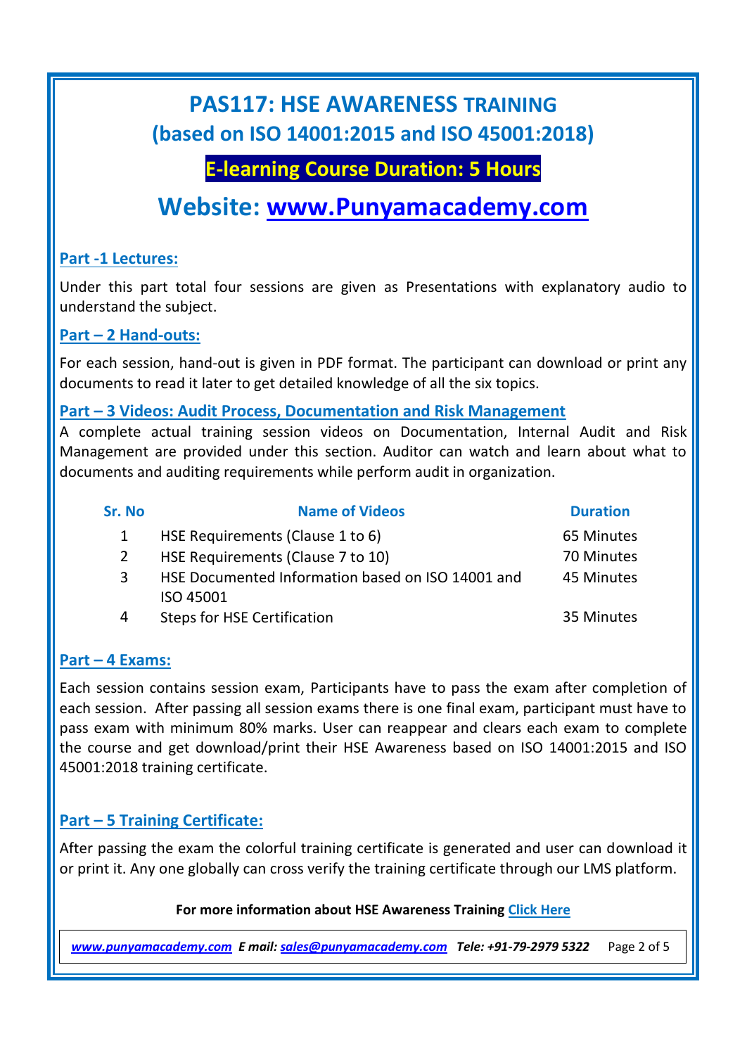## **E-learning Course Duration: 5 Hours**

# **Website: [www.Punyamacademy.com](http://www.punyamacademy.com/)**

### **Part -1 Lectures:**

Under this part total four sessions are given as Presentations with explanatory audio to understand the subject.

### **Part – 2 Hand-outs:**

For each session, hand-out is given in PDF format. The participant can download or print any documents to read it later to get detailed knowledge of all the six topics.

### **Part – 3 Videos: Audit Process, Documentation and Risk Management**

A complete actual training session videos on Documentation, Internal Audit and Risk Management are provided under this section. Auditor can watch and learn about what to documents and auditing requirements while perform audit in organization.

| Sr. No | <b>Name of Videos</b>                             | <b>Duration</b> |
|--------|---------------------------------------------------|-----------------|
|        | HSE Requirements (Clause 1 to 6)                  | 65 Minutes      |
|        | HSE Requirements (Clause 7 to 10)                 | 70 Minutes      |
| 3      | HSE Documented Information based on ISO 14001 and | 45 Minutes      |
|        | ISO 45001                                         |                 |
| 4      | <b>Steps for HSE Certification</b>                | 35 Minutes      |

### **Part – 4 Exams:**

Each session contains session exam, Participants have to pass the exam after completion of each session. After passing all session exams there is one final exam, participant must have to pass exam with minimum 80% marks. User can reappear and clears each exam to complete the course and get download/print their HSE Awareness based on ISO 14001:2015 and ISO 45001:2018 training certificate.

### **Part – 5 Training Certificate:**

After passing the exam the colorful training certificate is generated and user can download it or print it. Any one globally can cross verify the training certificate through our LMS platform.

#### **For more information about HSE Awareness Training [Click Here](https://www.punyamacademy.com/course/hse/hse-awareness-training-online)**

*[www.punyamacademy.com](https://www.punyamacademy.com/) E mail[: sales@punyamacademy.com](mailto:sales@punyamacademy.com) Tele: +91-79-2979 5322* Page 2 of 5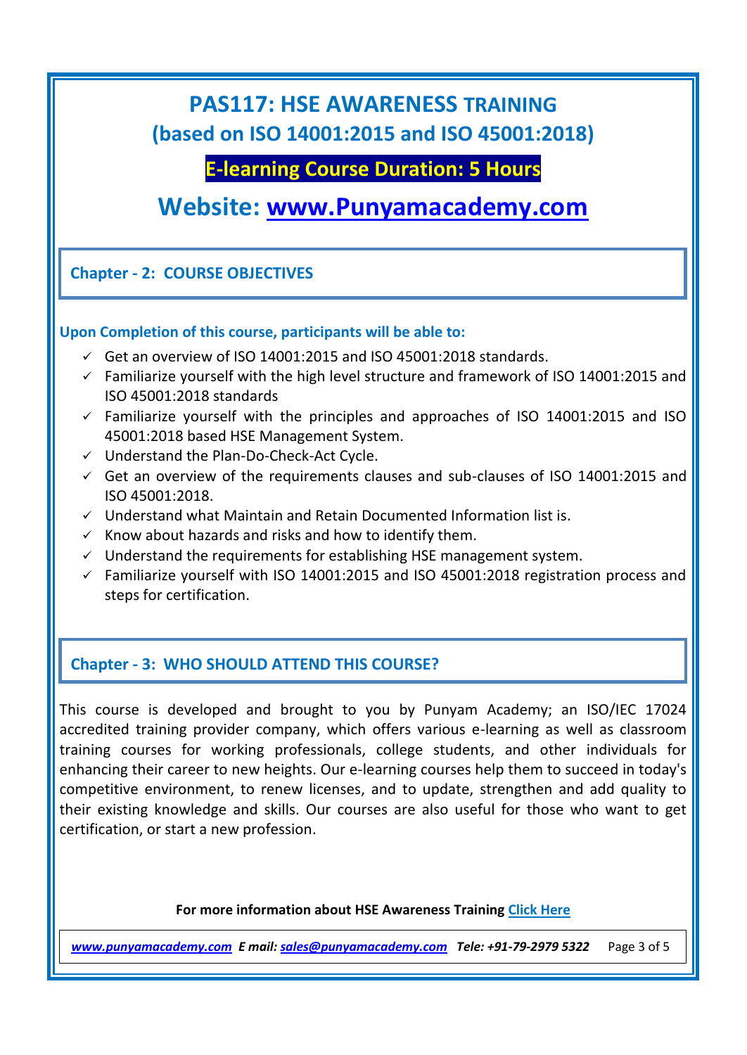## **E-learning Course Duration: 5 Hours**

## **Website: [www.Punyamacademy.com](http://www.punyamacademy.com/)**

**Chapter - 2: COURSE OBJECTIVES**

### **Upon Completion of this course, participants will be able to:**

- $\checkmark$  Get an overview of ISO 14001:2015 and ISO 45001:2018 standards.
- $\checkmark$  Familiarize yourself with the high level structure and framework of ISO 14001:2015 and ISO 45001:2018 standards
- $\checkmark$  Familiarize yourself with the principles and approaches of ISO 14001:2015 and ISO 45001:2018 based HSE Management System.
- $\checkmark$  Understand the Plan-Do-Check-Act Cycle.
- $\checkmark$  Get an overview of the requirements clauses and sub-clauses of ISO 14001:2015 and ISO 45001:2018.
- $\checkmark$  Understand what Maintain and Retain Documented Information list is.
- $\checkmark$  Know about hazards and risks and how to identify them.
- $\checkmark$  Understand the requirements for establishing HSE management system.
- $\checkmark$  Familiarize yourself with ISO 14001:2015 and ISO 45001:2018 registration process and steps for certification.

### **Chapter - 3: WHO SHOULD ATTEND THIS COURSE?**

This course is developed and brought to you by Punyam Academy; an ISO/IEC 17024 accredited training provider company, which offers various e-learning as well as classroom training courses for working professionals, college students, and other individuals for enhancing their career to new heights. Our e-learning courses help them to succeed in today's competitive environment, to renew licenses, and to update, strengthen and add quality to their existing knowledge and skills. Our courses are also useful for those who want to get certification, or start a new profession.

#### **For more information about HSE Awareness Training [Click Here](https://www.punyamacademy.com/course/hse/hse-awareness-training-online)**

*[www.punyamacademy.com](https://www.punyamacademy.com/) E mail[: sales@punyamacademy.com](mailto:sales@punyamacademy.com) Tele: +91-79-2979 5322* Page 3 of 5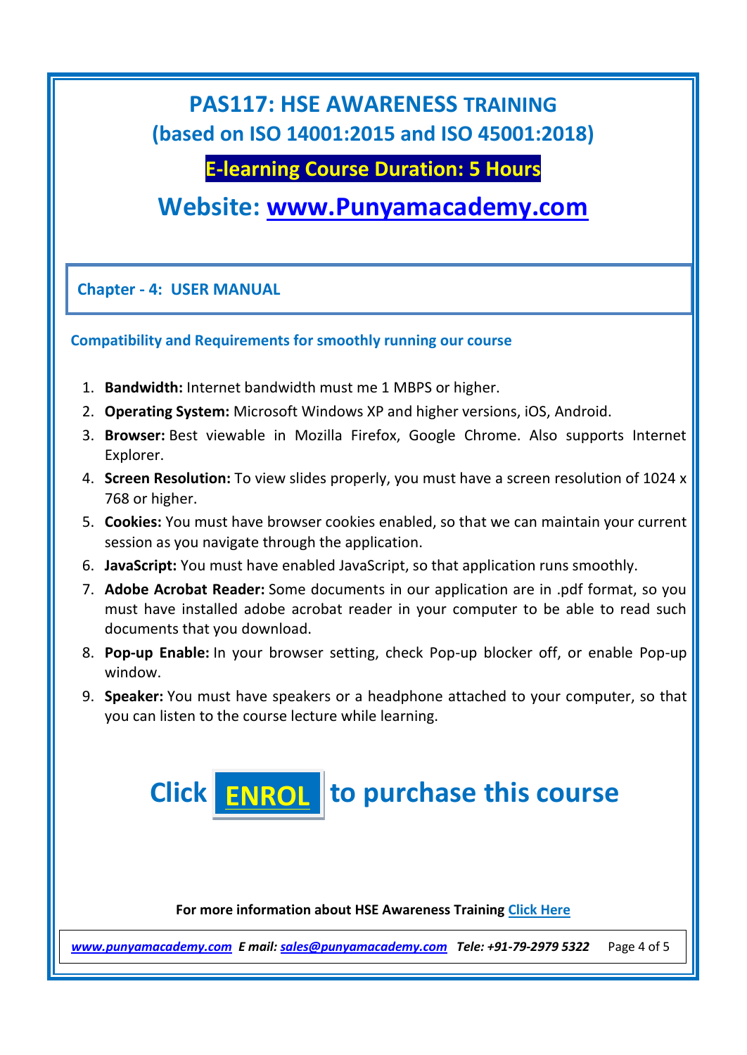## **E-learning Course Duration: 5 Hours**

# **Website: [www.Punyamacademy.com](http://www.punyamacademy.com/)**

**Chapter - 4: USER MANUAL**

### **Compatibility and Requirements for smoothly running our course**

- 1. **Bandwidth:** Internet bandwidth must me 1 MBPS or higher.
- 2. **Operating System:** Microsoft Windows XP and higher versions, iOS, Android.
- 3. **Browser:** Best viewable in Mozilla Firefox, Google Chrome. Also supports Internet Explorer.
- 4. **Screen Resolution:** To view slides properly, you must have a screen resolution of 1024 x 768 or higher.
- 5. **Cookies:** You must have browser cookies enabled, so that we can maintain your current session as you navigate through the application.
- 6. **JavaScript:** You must have enabled JavaScript, so that application runs smoothly.
- 7. **Adobe Acrobat Reader:** Some documents in our application are in .pdf format, so you must have installed adobe acrobat reader in your computer to be able to read such documents that you download.
- 8. **Pop-up Enable:** In your browser setting, check Pop-up blocker off, or enable Pop-up window.
- 9. **Speaker:** You must have speakers or a headphone attached to your computer, so that you can listen to the course lecture while learning.



**For more information about HSE Awareness Training [Click Here](https://www.punyamacademy.com/course/hse/hse-awareness-training-online)**

*[www.punyamacademy.com](https://www.punyamacademy.com/) E mail[: sales@punyamacademy.com](mailto:sales@punyamacademy.com) Tele: +91-79-2979 5322* Page 4 of 5